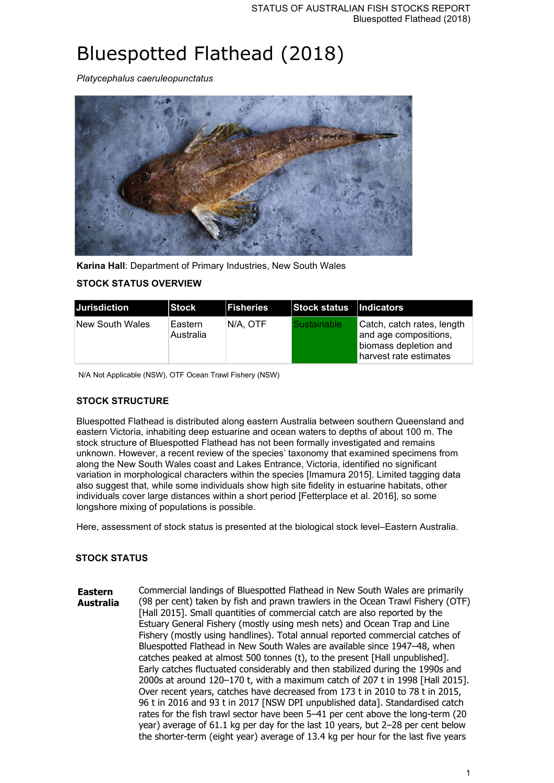# Bluespotted Flathead (2018)

*Platycephalus caeruleopunctatus*



**Karina Hall**: Department of Primary Industries, New South Wales

# **STOCK STATUS OVERVIEW**

| <b>IJurisdiction</b> | <b>Stock</b>         | <b>IFisheries</b> | Stock status   Indicators |                                                                                                        |
|----------------------|----------------------|-------------------|---------------------------|--------------------------------------------------------------------------------------------------------|
| New South Wales      | Eastern<br>Australia | IN/A. OTF         | <b>Sustainable</b>        | Catch, catch rates, length<br>and age compositions,<br>biomass depletion and<br>harvest rate estimates |

N/A Not Applicable (NSW), OTF Ocean Trawl Fishery (NSW)

#### **STOCK STRUCTURE**

Bluespotted Flathead is distributed along eastern Australia between southern Queensland and eastern Victoria, inhabiting deep estuarine and ocean waters to depths of about 100 m. The stock structure of Bluespotted Flathead has not been formally investigated and remains unknown. However, a recent review of the species' taxonomy that examined specimens from along the New South Wales coast and Lakes Entrance, Victoria, identified no significant variation in morphological characters within the species [Imamura 2015]. Limited tagging data also suggest that, while some individuals show high site fidelity in estuarine habitats, other individuals cover large distances within a short period [Fetterplace et al. 2016], so some longshore mixing of populations is possible.

Here, assessment of stock status is presented at the biological stock level–Eastern Australia.

## **STOCK STATUS**

**Eastern Australia** Commercial landings of Bluespotted Flathead in New South Wales are primarily (98 per cent) taken by fish and prawn trawlers in the Ocean Trawl Fishery (OTF) [Hall 2015]. Small quantities of commercial catch are also reported by the Estuary General Fishery (mostly using mesh nets) and Ocean Trap and Line Fishery (mostly using handlines). Total annual reported commercial catches of Bluespotted Flathead in New South Wales are available since 1947–48, when catches peaked at almost 500 tonnes (t), to the present [Hall unpublished]. Early catches fluctuated considerably and then stabilized during the 1990s and 2000s at around 120–170 t, with a maximum catch of 207 t in 1998 [Hall 2015]. Over recent years, catches have decreased from 173 t in 2010 to 78 t in 2015, 96 t in 2016 and 93 t in 2017 [NSW DPI unpublished data]. Standardised catch rates for the fish trawl sector have been 5–41 per cent above the long-term (20 year) average of 61.1 kg per day for the last 10 years, but 2–28 per cent below the shorter-term (eight year) average of 13.4 kg per hour for the last five years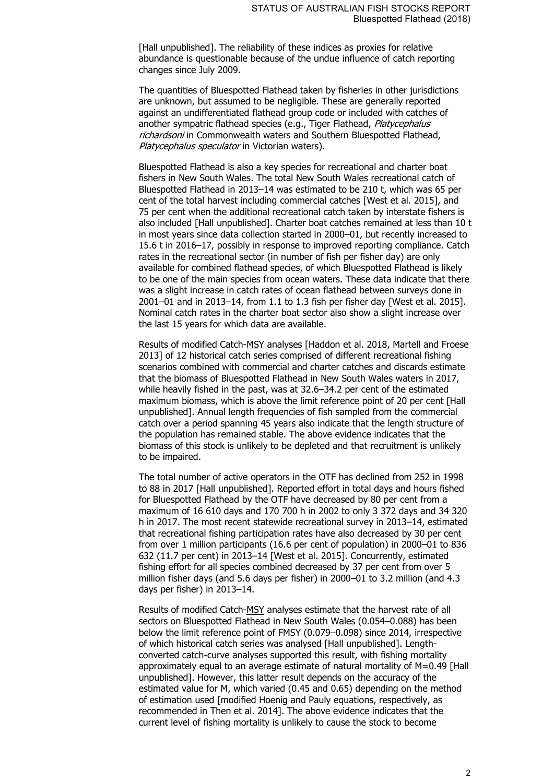[Hall unpublished]. The reliability of these indices as proxies for relative abundance is questionable because of the undue influence of catch reporting changes since July 2009.

The quantities of Bluespotted Flathead taken by fisheries in other jurisdictions are unknown, but assumed to be negligible. These are generally reported against an undifferentiated flathead group code or included with catches of another sympatric flathead species (e.g., Tiger Flathead, Platycephalus richardsoni in Commonwealth waters and Southern Bluespotted Flathead, Platycephalus speculator in Victorian waters).

Bluespotted Flathead is also a key species for recreational and charter boat fishers in New South Wales. The total New South Wales recreational catch of Bluespotted Flathead in 2013–14 was estimated to be 210 t, which was 65 per cent of the total harvest including commercial catches [West et al. 2015], and 75 per cent when the additional recreational catch taken by interstate fishers is also included [Hall unpublished]. Charter boat catches remained at less than 10 t in most years since data collection started in 2000–01, but recently increased to 15.6 t in 2016–17, possibly in response to improved reporting compliance. Catch rates in the recreational sector (in number of fish per fisher day) are only available for combined flathead species, of which Bluespotted Flathead is likely to be one of the main species from ocean waters. These data indicate that there was a slight increase in catch rates of ocean flathead between surveys done in 2001–01 and in 2013–14, from 1.1 to 1.3 fish per fisher day [West et al. 2015]. Nominal catch rates in the charter boat sector also show a slight increase over the last 15 years for which data are available.

Results of modified Catch-MSY analyses [Haddon et al. 2018, Martell and Froese 2013] of 12 historical catch series comprised of different recreational fishing scenarios combined with commercial and charter catches and discards estimate that the biomass of Bluespotted Flathead in New South Wales waters in 2017, while heavily fished in the past, was at 32.6–34.2 per cent of the estimated maximum biomass, which is above the limit reference point of 20 per cent [Hall unpublished]. Annual length frequencies of fish sampled from the commercial catch over a period spanning 45 years also indicate that the length structure of the population has remained stable. The above evidence indicates that the biomass of this stock is unlikely to be depleted and that recruitment is unlikely to be impaired.

The total number of active operators in the OTF has declined from 252 in 1998 to 88 in 2017 [Hall unpublished]. Reported effort in total days and hours fished for Bluespotted Flathead by the OTF have decreased by 80 per cent from a maximum of 16 610 days and 170 700 h in 2002 to only 3 372 days and 34 320 h in 2017. The most recent statewide recreational survey in 2013–14, estimated that recreational fishing participation rates have also decreased by 30 per cent from over 1 million participants (16.6 per cent of population) in 2000–01 to 836 632 (11.7 per cent) in 2013–14 [West et al. 2015]. Concurrently, estimated fishing effort for all species combined decreased by 37 per cent from over 5 million fisher days (and 5.6 days per fisher) in 2000–01 to 3.2 million (and 4.3 days per fisher) in 2013–14.

Results of modified Catch-MSY analyses estimate that the harvest rate of all sectors on Bluespotted Flathead in New South Wales (0.054–0.088) has been below the limit reference point of FMSY (0.079–0.098) since 2014, irrespective of which historical catch series was analysed [Hall unpublished]. Lengthconverted catch-curve analyses supported this result, with fishing mortality approximately equal to an average estimate of natural mortality of M=0.49 [Hall unpublished]. However, this latter result depends on the accuracy of the estimated value for M, which varied (0.45 and 0.65) depending on the method of estimation used [modified Hoenig and Pauly equations, respectively, as recommended in Then et al. 2014]. The above evidence indicates that the current level of fishing mortality is unlikely to cause the stock to become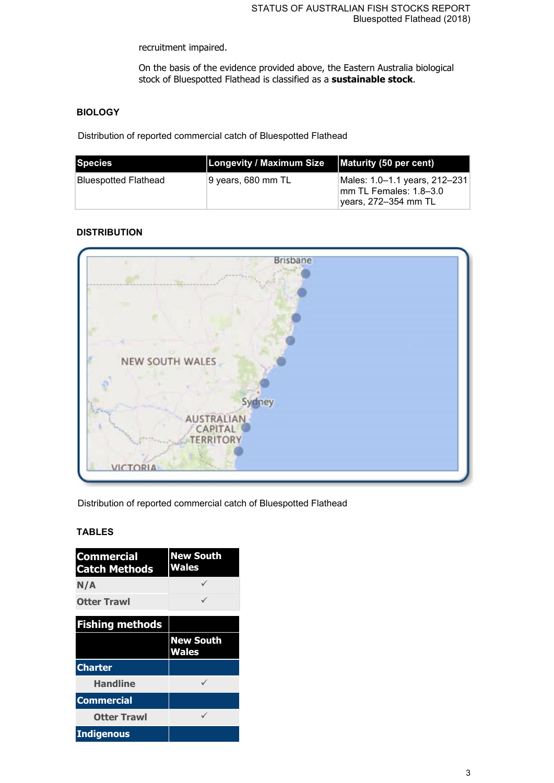recruitment impaired.

On the basis of the evidence provided above, the Eastern Australia biological stock of Bluespotted Flathead is classified as a **sustainable stock**.

## **BIOLOGY**

Distribution of reported commercial catch of Bluespotted Flathead

| Species                     | <b>Longevity / Maximum Size</b> | Maturity (50 per cent)                                                            |
|-----------------------------|---------------------------------|-----------------------------------------------------------------------------------|
| <b>Bluespotted Flathead</b> | ∣9 vears, 680 mm TL             | Males: 1.0–1.1 years, 212–231<br>lmm TL Females: 1.8–3.0<br>lyears, 272–354 mm TL |

## **DISTRIBUTION**



Distribution of reported commercial catch of Bluespotted Flathead

#### **TABLES**

| <b>Commercial</b><br><b>Catch Methods</b> | <b>New South</b><br><b>Wales</b> |  |
|-------------------------------------------|----------------------------------|--|
| N/A                                       |                                  |  |
| <b>Otter Trawl</b>                        |                                  |  |
| <b>Fishing methods</b>                    |                                  |  |
|                                           | <b>New South</b><br><b>Wales</b> |  |
| <b>Charter</b>                            |                                  |  |
| <b>Handline</b>                           |                                  |  |
| <b>Commercial</b>                         |                                  |  |
| <b>Otter Trawl</b>                        |                                  |  |
| <b>Indigenous</b>                         |                                  |  |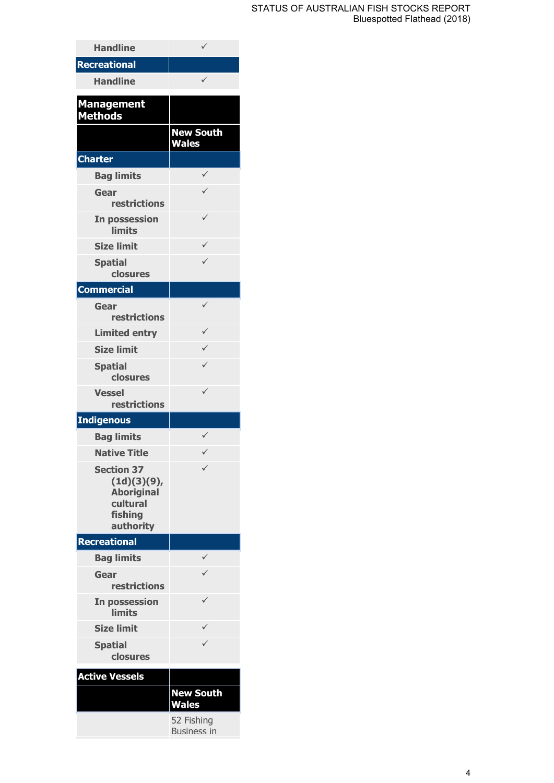#### STATUS OF AUSTRALIAN FISH STOCKS REPORT Bluespotted Flathead (2018)

| <b>Handline</b>                                                                           | ✓                                |
|-------------------------------------------------------------------------------------------|----------------------------------|
| <b>Recreational</b>                                                                       |                                  |
| <b>Handline</b>                                                                           |                                  |
| <b>Management</b><br><b>Methods</b>                                                       |                                  |
|                                                                                           | <b>New South</b><br><b>Wales</b> |
| <b>Charter</b>                                                                            |                                  |
| <b>Bag limits</b>                                                                         |                                  |
| Gear<br><b>restrictions</b>                                                               |                                  |
| In possession<br>limits                                                                   | ✓                                |
| <b>Size limit</b>                                                                         | ✓                                |
| <b>Spatial</b><br>closures                                                                | ✓                                |
| <b>Commercial</b>                                                                         |                                  |
| Gear<br><b>restrictions</b>                                                               |                                  |
| <b>Limited entry</b>                                                                      | $\checkmark$                     |
| <b>Size limit</b>                                                                         |                                  |
| <b>Spatial</b><br>closures                                                                |                                  |
| <b>Vessel</b><br>restrictions                                                             |                                  |
| <b>Indigenous</b>                                                                         |                                  |
| <b>Bag limits</b>                                                                         | ✓                                |
| <b>Native Title</b>                                                                       | ✓                                |
| <b>Section 37</b><br>(1d)(3)(9),<br><b>Aboriginal</b><br>cultural<br>fishing<br>authority |                                  |
| Recreational                                                                              |                                  |
| <b>Bag limits</b>                                                                         |                                  |
| Gear<br>restrictions                                                                      |                                  |
| In possession<br><b>limits</b>                                                            |                                  |
| <b>Size limit</b>                                                                         |                                  |
| <b>Spatial</b><br>closures                                                                |                                  |
| <b>Active Vessels</b>                                                                     |                                  |
|                                                                                           | <b>New South</b><br><b>Wales</b> |
|                                                                                           | 52 Fishing<br><b>Business in</b> |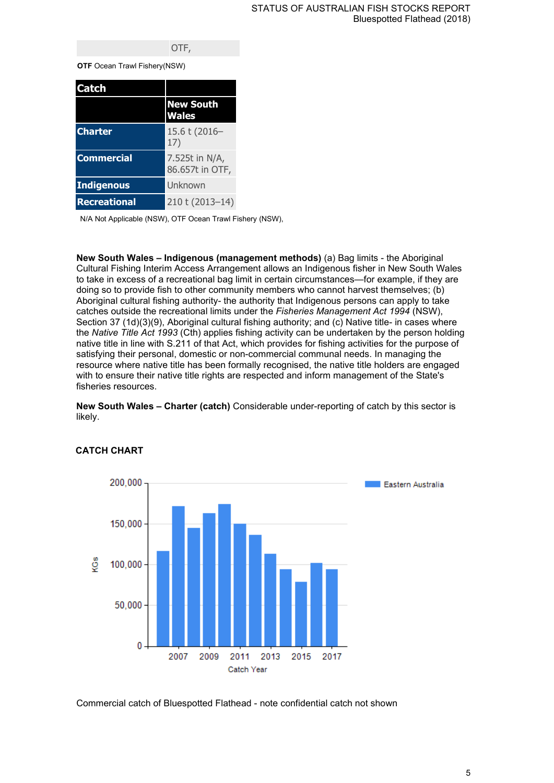#### OTF,

**OTF** Ocean Trawl Fishery(NSW)

| <b>Catch</b>        |                                   |
|---------------------|-----------------------------------|
|                     | <b>New South</b><br><b>Wales</b>  |
| <b>Charter</b>      | 15.6 t (2016-<br>17)              |
| <b>Commercial</b>   | 7.525t in N/A,<br>86.657t in OTF, |
| <b>Indigenous</b>   | Unknown                           |
| <b>Recreational</b> | 210 t (2013-14)                   |

N/A Not Applicable (NSW), OTF Ocean Trawl Fishery (NSW),

**New South Wales – Indigenous (management methods)** (a) Bag limits - the Aboriginal Cultural Fishing Interim Access Arrangement allows an Indigenous fisher in New South Wales to take in excess of a recreational bag limit in certain circumstances—for example, if they are doing so to provide fish to other community members who cannot harvest themselves; (b) Aboriginal cultural fishing authority- the authority that Indigenous persons can apply to take catches outside the recreational limits under the *Fisheries Management Act 1994* (NSW), Section 37 (1d)(3)(9), Aboriginal cultural fishing authority; and (c) Native title- in cases where the *Native Title Act 1993* (Cth) applies fishing activity can be undertaken by the person holding native title in line with S.211 of that Act, which provides for fishing activities for the purpose of satisfying their personal, domestic or non-commercial communal needs. In managing the resource where native title has been formally recognised, the native title holders are engaged with to ensure their native title rights are respected and inform management of the State's fisheries resources.

**New South Wales – Charter (catch)** Considerable under-reporting of catch by this sector is likely.



#### **CATCH CHART**

Commercial catch of Bluespotted Flathead - note confidential catch not shown